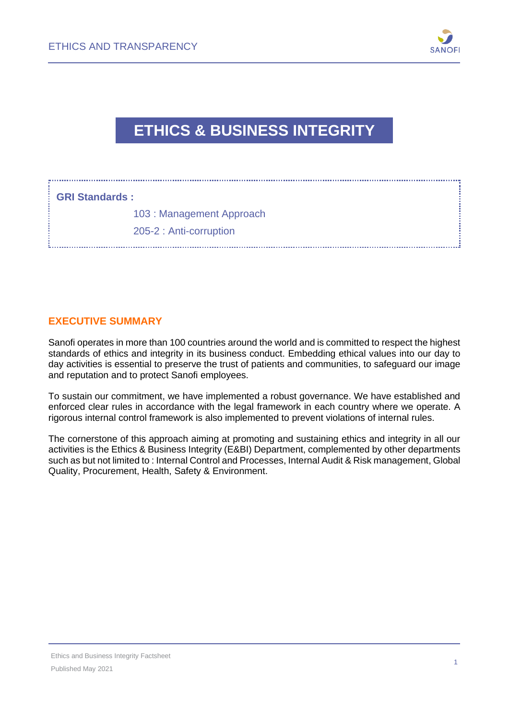

## **ETHICS & BUSINESS INTEGRITY**

#### **GRI Standards :**

103 : Management Approach

205-2 : Anti-corruption

### **EXECUTIVE SUMMARY**

Sanofi operates in more than 100 countries around the world and is committed to respect the highest standards of ethics and integrity in its business conduct. Embedding ethical values into our day to day activities is essential to preserve the trust of patients and communities, to safeguard our image and reputation and to protect Sanofi employees.

To sustain our commitment, we have implemented a robust governance. We have established and enforced clear rules in accordance with the legal framework in each country where we operate. A rigorous internal control framework is also implemented to prevent violations of internal rules.

The cornerstone of this approach aiming at promoting and sustaining ethics and integrity in all our activities is the Ethics & Business Integrity (E&BI) Department, complemented by other departments such as but not limited to : Internal Control and Processes, Internal Audit & Risk management, Global Quality, Procurement, Health, Safety & Environment.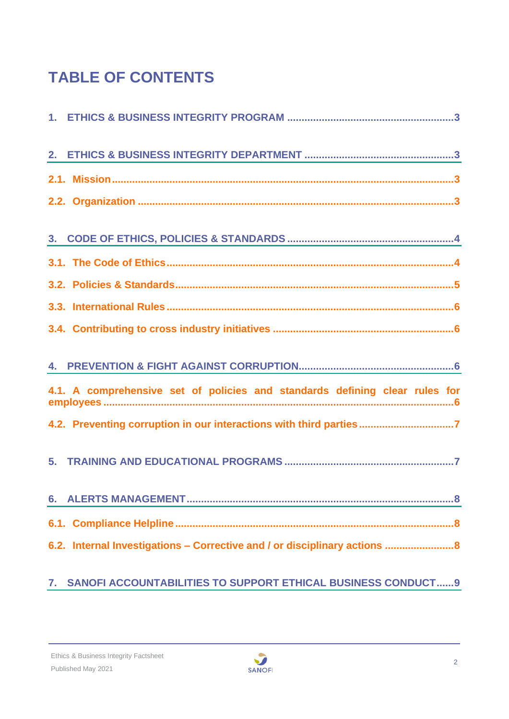# **TABLE OF CONTENTS**

| 4.1. A comprehensive set of policies and standards defining clear rules for |
|-----------------------------------------------------------------------------|
| 4.2. Preventing corruption in our interactions with third parties7          |
|                                                                             |
| 6.                                                                          |
|                                                                             |
| 6.2. Internal Investigations - Corrective and / or disciplinary actions     |

## **7. [SANOFI ACCOUNTABILITIES TO SUPPORT ETHICAL BUSINESS CONDUCT......9](#page-8-0)**

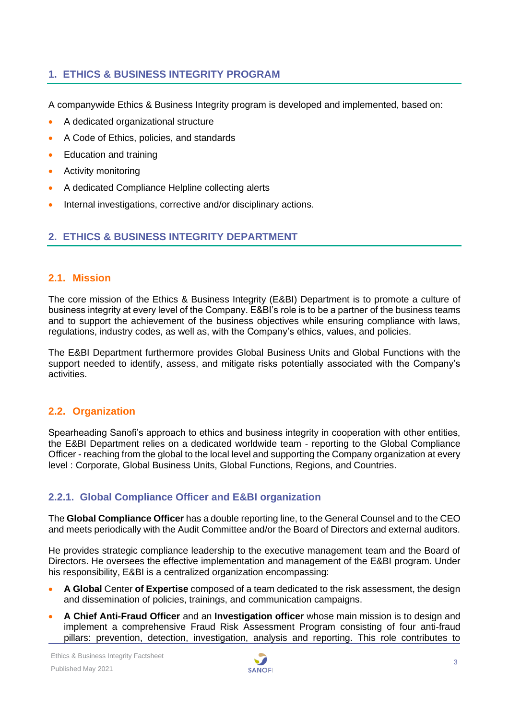#### <span id="page-2-0"></span>**1. ETHICS & BUSINESS INTEGRITY PROGRAM**

A companywide Ethics & Business Integrity program is developed and implemented, based on:

- A dedicated organizational structure
- A Code of Ethics, policies, and standards
- Education and training
- Activity monitoring
- A dedicated Compliance Helpline collecting alerts
- Internal investigations, corrective and/or disciplinary actions.

#### <span id="page-2-1"></span>**2. ETHICS & BUSINESS INTEGRITY DEPARTMENT**

#### <span id="page-2-2"></span>**2.1. Mission**

The core mission of the Ethics & Business Integrity (E&BI) Department is to promote a culture of business integrity at every level of the Company. E&BI's role is to be a partner of the business teams and to support the achievement of the business objectives while ensuring compliance with laws, regulations, industry codes, as well as, with the Company's ethics, values, and policies.

The E&BI Department furthermore provides Global Business Units and Global Functions with the support needed to identify, assess, and mitigate risks potentially associated with the Company's activities.

#### <span id="page-2-3"></span>**2.2. Organization**

Spearheading Sanofi's approach to ethics and business integrity in cooperation with other entities, the E&BI Department relies on a dedicated worldwide team - reporting to the Global Compliance Officer - reaching from the global to the local level and supporting the Company organization at every level : Corporate, Global Business Units, Global Functions, Regions, and Countries.

#### **2.2.1. Global Compliance Officer and E&BI organization**

The **Global Compliance Officer** has a double reporting line, to the General Counsel and to the CEO and meets periodically with the Audit Committee and/or the Board of Directors and external auditors.

He provides strategic compliance leadership to the executive management team and the Board of Directors. He oversees the effective implementation and management of the E&BI program. Under his responsibility, E&BI is a centralized organization encompassing:

- **A Global** Center **of Expertise** composed of a team dedicated to the risk assessment, the design and dissemination of policies, trainings, and communication campaigns.
- **A Chief Anti-Fraud Officer** and an **Investigation officer** whose main mission is to design and implement a comprehensive Fraud Risk Assessment Program consisting of four anti-fraud pillars: prevention, detection, investigation, analysis and reporting. This role contributes to

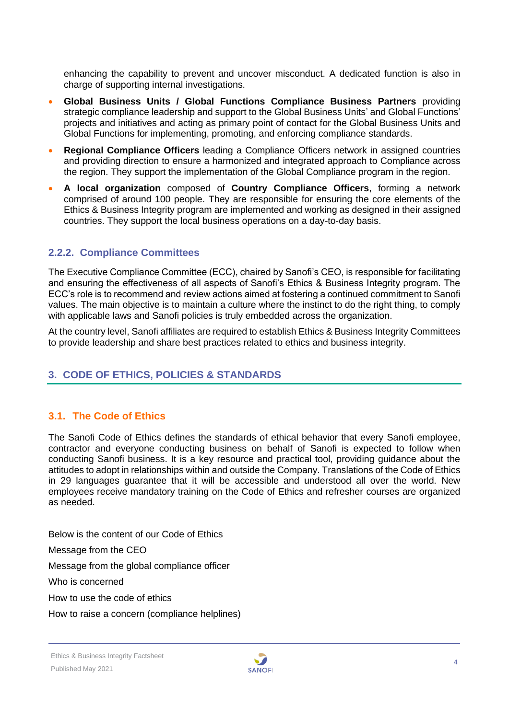enhancing the capability to prevent and uncover misconduct. A dedicated function is also in charge of supporting internal investigations.

- **Global Business Units / Global Functions Compliance Business Partners** providing strategic compliance leadership and support to the Global Business Units' and Global Functions' projects and initiatives and acting as primary point of contact for the Global Business Units and Global Functions for implementing, promoting, and enforcing compliance standards.
- **Regional Compliance Officers** leading a Compliance Officers network in assigned countries and providing direction to ensure a harmonized and integrated approach to Compliance across the region. They support the implementation of the Global Compliance program in the region.
- **A local organization** composed of **Country Compliance Officers**, forming a network comprised of around 100 people. They are responsible for ensuring the core elements of the Ethics & Business Integrity program are implemented and working as designed in their assigned countries. They support the local business operations on a day-to-day basis.

#### **2.2.2. Compliance Committees**

The Executive Compliance Committee (ECC), chaired by Sanofi's CEO, is responsible for facilitating and ensuring the effectiveness of all aspects of Sanofi's Ethics & Business Integrity program. The ECC's role is to recommend and review actions aimed at fostering a continued commitment to Sanofi values. The main objective is to maintain a culture where the instinct to do the right thing, to comply with applicable laws and Sanofi policies is truly embedded across the organization.

At the country level, Sanofi affiliates are required to establish Ethics & Business Integrity Committees to provide leadership and share best practices related to ethics and business integrity.

#### <span id="page-3-0"></span>**3. CODE OF ETHICS, POLICIES & STANDARDS**

#### <span id="page-3-1"></span>**3.1. The Code of Ethics**

The Sanofi Code of Ethics defines the standards of ethical behavior that every Sanofi employee, contractor and everyone conducting business on behalf of Sanofi is expected to follow when conducting Sanofi business. It is a key resource and practical tool, providing guidance about the attitudes to adopt in relationships within and outside the Company. Translations of the Code of Ethics in 29 languages guarantee that it will be accessible and understood all over the world. New employees receive mandatory training on the Code of Ethics and refresher courses are organized as needed.

Below is the content of our Code of Ethics

Message from the CEO

Message from the global compliance officer

Who is concerned

How to use the code of ethics

How to raise a concern (compliance helplines)

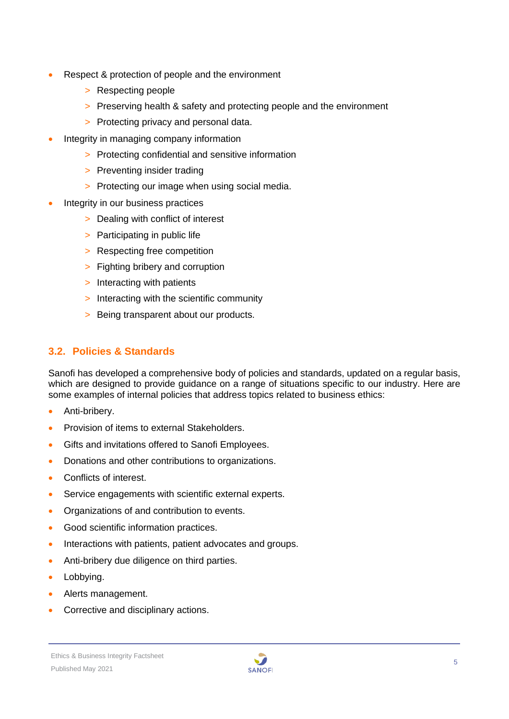- Respect & protection of people and the environment
	- > Respecting people
	- > Preserving health & safety and protecting people and the environment
	- > Protecting privacy and personal data.
- Integrity in managing company information
	- > Protecting confidential and sensitive information
	- > Preventing insider trading
	- > Protecting our image when using social media.
- Integrity in our business practices
	- > Dealing with conflict of interest
	- > Participating in public life
	- > Respecting free competition
	- > Fighting bribery and corruption
	- > Interacting with patients
	- > Interacting with the scientific community
	- > Being transparent about our products.

#### <span id="page-4-0"></span>**3.2. Policies & Standards**

Sanofi has developed a comprehensive body of policies and standards, updated on a regular basis, which are designed to provide guidance on a range of situations specific to our industry. Here are some examples of internal policies that address topics related to business ethics:

- Anti-bribery.
- Provision of items to external Stakeholders.
- Gifts and invitations offered to Sanofi Employees.
- Donations and other contributions to organizations.
- Conflicts of interest.
- Service engagements with scientific external experts.
- Organizations of and contribution to events.
- Good scientific information practices.
- Interactions with patients, patient advocates and groups.
- Anti-bribery due diligence on third parties.
- Lobbying.
- Alerts management.
- Corrective and disciplinary actions.

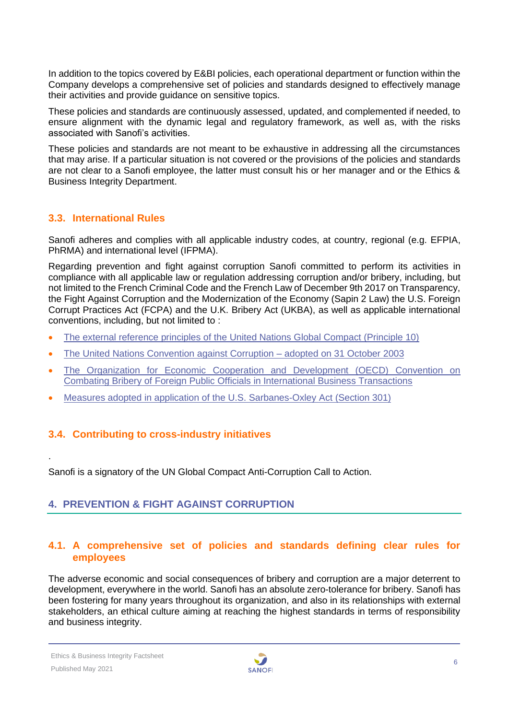In addition to the topics covered by E&BI policies, each operational department or function within the Company develops a comprehensive set of policies and standards designed to effectively manage their activities and provide guidance on sensitive topics.

These policies and standards are continuously assessed, updated, and complemented if needed, to ensure alignment with the dynamic legal and regulatory framework, as well as, with the risks associated with Sanofi's activities.

These policies and standards are not meant to be exhaustive in addressing all the circumstances that may arise. If a particular situation is not covered or the provisions of the policies and standards are not clear to a Sanofi employee, the latter must consult his or her manager and or the Ethics & Business Integrity Department.

#### <span id="page-5-0"></span>**3.3. International Rules**

Sanofi adheres and complies with all applicable industry codes, at country, regional (e.g. EFPIA, PhRMA) and international level (IFPMA).

Regarding prevention and fight against corruption Sanofi committed to perform its activities in compliance with all applicable law or regulation addressing corruption and/or bribery, including, but not limited to the French Criminal Code and the French Law of December 9th 2017 on Transparency, the Fight Against Corruption and the Modernization of the Economy (Sapin 2 Law) the U.S. Foreign Corrupt Practices Act (FCPA) and the U.K. Bribery Act (UKBA), as well as applicable international conventions, including, but not limited to :

- [The external reference principles of the United Nations Global Compact \(Principle 10\)](https://www.unglobalcompact.org/what-is-gc/mission/principles/principle-10)
- [The United Nations Convention against Corruption –](http://www.unodc.org/unodc/en/treaties/CAC/index.html) adopted on 31 October 2003
- The Organization for Economic Cooperation and Development (OECD) Convention on [Combating Bribery of Foreign Public Officials in International Business Transactions](http://www.oecd.org/corruption/oecdantibriberyconvention.htm)
- <span id="page-5-1"></span>• [Measures adopted in application of the U.S. Sarbanes-Oxley Act \(Section 301\)](http://www.sec.gov/about/laws/soa2002.pdf)

#### **3.4. Contributing to cross-industry initiatives**

Sanofi is a signatory of the UN Global Compact Anti-Corruption Call to Action.

#### <span id="page-5-2"></span>**4. PREVENTION & FIGHT AGAINST CORRUPTION**

#### <span id="page-5-3"></span>**4.1. A comprehensive set of policies and standards defining clear rules for employees**

The adverse economic and social consequences of bribery and corruption are a major deterrent to development, everywhere in the world. Sanofi has an absolute zero-tolerance for bribery. Sanofi has been fostering for many years throughout its organization, and also in its relationships with external stakeholders, an ethical culture aiming at reaching the highest standards in terms of responsibility and business integrity.

.

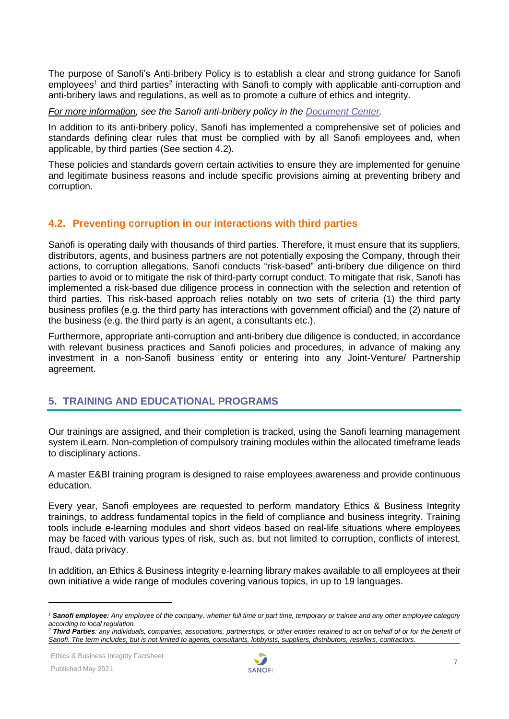The purpose of Sanofi's Anti-bribery Policy is to establish a clear and strong guidance for Sanofi employees<sup>1</sup> and third parties<sup>2</sup> interacting with Sanofi to comply with applicable anti-corruption and anti-bribery laws and regulations, as well as to promote a culture of ethics and integrity.

*For more information, see the Sanofi anti-bribery policy in the [Document Center.](https://www.sanofi.com/en/our-responsibility/documents-center/)*

In addition to its anti-bribery policy, Sanofi has implemented a comprehensive set of policies and standards defining clear rules that must be complied with by all Sanofi employees and, when applicable, by third parties (See section 4.2).

These policies and standards govern certain activities to ensure they are implemented for genuine and legitimate business reasons and include specific provisions aiming at preventing bribery and corruption.

#### <span id="page-6-0"></span>**4.2. Preventing corruption in our interactions with third parties**

Sanofi is operating daily with thousands of third parties. Therefore, it must ensure that its suppliers, distributors, agents, and business partners are not potentially exposing the Company, through their actions, to corruption allegations. Sanofi conducts "risk-based" anti-bribery due diligence on third parties to avoid or to mitigate the risk of third-party corrupt conduct. To mitigate that risk, Sanofi has implemented a risk-based due diligence process in connection with the selection and retention of third parties. This risk-based approach relies notably on two sets of criteria (1) the third party business profiles (e.g. the third party has interactions with government official) and the (2) nature of the business (e.g. the third party is an agent, a consultants etc.).

Furthermore, appropriate anti-corruption and anti-bribery due diligence is conducted, in accordance with relevant business practices and Sanofi policies and procedures, in advance of making any investment in a non-Sanofi business entity or entering into any Joint-Venture/ Partnership agreement.

#### <span id="page-6-1"></span>**5. TRAINING AND EDUCATIONAL PROGRAMS**

Our trainings are assigned, and their completion is tracked, using the Sanofi learning management system iLearn. Non-completion of compulsory training modules within the allocated timeframe leads to disciplinary actions.

A master E&BI training program is designed to raise employees awareness and provide continuous education.

Every year, Sanofi employees are requested to perform mandatory Ethics & Business Integrity trainings, to address fundamental topics in the field of compliance and business integrity. Training tools include e-learning modules and short videos based on real-life situations where employees may be faced with various types of risk, such as, but not limited to corruption, conflicts of interest, fraud, data privacy.

In addition, an Ethics & Business integrity e-learning library makes available to all employees at their own initiative a wide range of modules covering various topics, in up to 19 languages.



*<sup>1</sup> Sanofi employee: Any employee of the company, whether full time or part time, temporary or trainee and any other employee category according to local regulation.*

<sup>&</sup>lt;sup>2</sup> Third Parties: any individuals, companies, associations, partnerships, or other entities retained to act on behalf of or for the benefit of *Sanofi. The term includes, but is not limited to agents, consultants, lobbyists, suppliers, distributors, resellers, contractors.*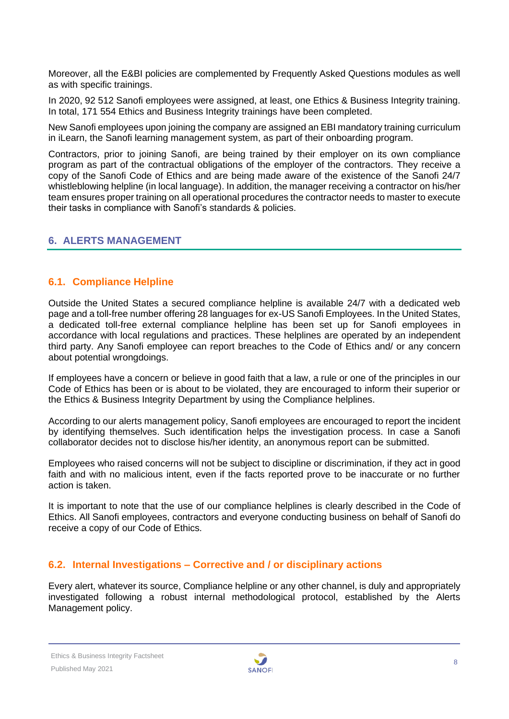Moreover, all the E&BI policies are complemented by Frequently Asked Questions modules as well as with specific trainings.

In 2020, 92 512 Sanofi employees were assigned, at least, one Ethics & Business Integrity training. In total, 171 554 Ethics and Business Integrity trainings have been completed.

New Sanofi employees upon joining the company are assigned an EBI mandatory training curriculum in iLearn, the Sanofi learning management system, as part of their onboarding program.

Contractors, prior to joining Sanofi, are being trained by their employer on its own compliance program as part of the contractual obligations of the employer of the contractors. They receive a copy of the Sanofi Code of Ethics and are being made aware of the existence of the Sanofi 24/7 whistleblowing helpline (in local language). In addition, the manager receiving a contractor on his/her team ensures proper training on all operational procedures the contractor needs to master to execute their tasks in compliance with Sanofi's standards & policies.

#### <span id="page-7-0"></span>**6. ALERTS MANAGEMENT**

#### <span id="page-7-1"></span>**6.1. Compliance Helpline**

Outside the United States a secured compliance helpline is available 24/7 with a dedicated web page and a toll-free number offering 28 languages for ex-US Sanofi Employees. In the United States, a dedicated toll-free external compliance helpline has been set up for Sanofi employees in accordance with local regulations and practices. These helplines are operated by an independent third party. Any Sanofi employee can report breaches to the Code of Ethics and/ or any concern about potential wrongdoings.

If employees have a concern or believe in good faith that a law, a rule or one of the principles in our Code of Ethics has been or is about to be violated, they are encouraged to inform their superior or the Ethics & Business Integrity Department by using the Compliance helplines.

According to our alerts management policy, Sanofi employees are encouraged to report the incident by identifying themselves. Such identification helps the investigation process. In case a Sanofi collaborator decides not to disclose his/her identity, an anonymous report can be submitted.

Employees who raised concerns will not be subject to discipline or discrimination, if they act in good faith and with no malicious intent, even if the facts reported prove to be inaccurate or no further action is taken.

It is important to note that the use of our compliance helplines is clearly described in the Code of Ethics. All Sanofi employees, contractors and everyone conducting business on behalf of Sanofi do receive a copy of our Code of Ethics.

#### <span id="page-7-2"></span>**6.2. Internal Investigations – Corrective and / or disciplinary actions**

Every alert, whatever its source, Compliance helpline or any other channel, is duly and appropriately investigated following a robust internal methodological protocol, established by the Alerts Management policy.

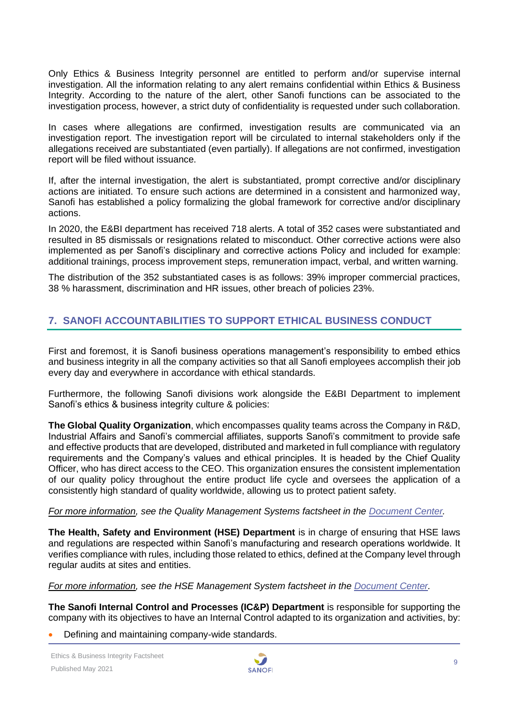Only Ethics & Business Integrity personnel are entitled to perform and/or supervise internal investigation. All the information relating to any alert remains confidential within Ethics & Business Integrity. According to the nature of the alert, other Sanofi functions can be associated to the investigation process, however, a strict duty of confidentiality is requested under such collaboration.

In cases where allegations are confirmed, investigation results are communicated via an investigation report. The investigation report will be circulated to internal stakeholders only if the allegations received are substantiated (even partially). If allegations are not confirmed, investigation report will be filed without issuance.

If, after the internal investigation, the alert is substantiated, prompt corrective and/or disciplinary actions are initiated. To ensure such actions are determined in a consistent and harmonized way, Sanofi has established a policy formalizing the global framework for corrective and/or disciplinary actions.

In 2020, the E&BI department has received 718 alerts. A total of 352 cases were substantiated and resulted in 85 dismissals or resignations related to misconduct. Other corrective actions were also implemented as per Sanofi's disciplinary and corrective actions Policy and included for example: additional trainings, process improvement steps, remuneration impact, verbal, and written warning.

The distribution of the 352 substantiated cases is as follows: 39% improper commercial practices, 38 % harassment, discrimination and HR issues, other breach of policies 23%.

#### <span id="page-8-0"></span>**7. SANOFI ACCOUNTABILITIES TO SUPPORT ETHICAL BUSINESS CONDUCT**

First and foremost, it is Sanofi business operations management's responsibility to embed ethics and business integrity in all the company activities so that all Sanofi employees accomplish their job every day and everywhere in accordance with ethical standards.

Furthermore, the following Sanofi divisions work alongside the E&BI Department to implement Sanofi's ethics & business integrity culture & policies:

**The Global Quality Organization**, which encompasses quality teams across the Company in R&D, Industrial Affairs and Sanofi's commercial affiliates, supports Sanofi's commitment to provide safe and effective products that are developed, distributed and marketed in full compliance with regulatory requirements and the Company's values and ethical principles. It is headed by the Chief Quality Officer, who has direct access to the CEO. This organization ensures the consistent implementation of our quality policy throughout the entire product life cycle and oversees the application of a consistently high standard of quality worldwide, allowing us to protect patient safety.

#### *For more information, see the Quality Management Systems factsheet in the [Document](https://www.sanofi.com/en/our-responsibility/documents-center/) Center.*

**The Health, Safety and Environment (HSE) Department** is in charge of ensuring that HSE laws and regulations are respected within Sanofi's manufacturing and research operations worldwide. It verifies compliance with rules, including those related to ethics, defined at the Company level through regular audits at sites and entities.

*For more information, see the HSE Management System factsheet in the [Document](https://www.sanofi.com/en/our-responsibility/documents-center/) Center.*

**The Sanofi Internal Control and Processes (IC&P) Department** is responsible for supporting the company with its objectives to have an Internal Control adapted to its organization and activities, by:

• Defining and maintaining company-wide standards.

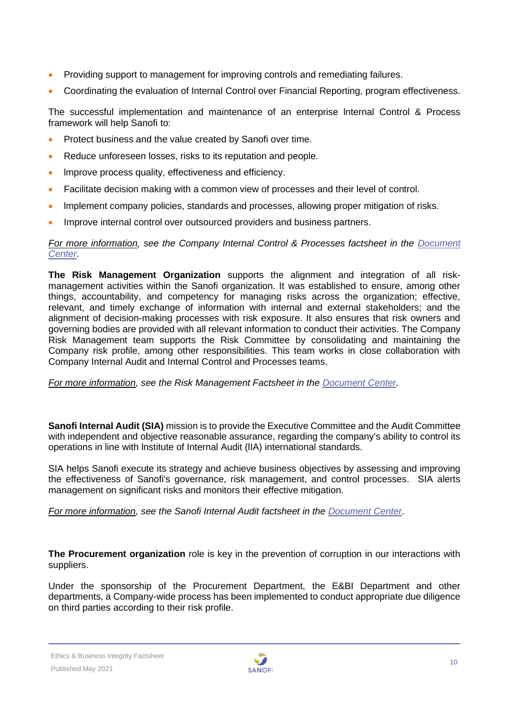- Providing support to management for improving controls and remediating failures.
- Coordinating the evaluation of Internal Control over Financial Reporting, program effectiveness.

The successful implementation and maintenance of an enterprise lnternal Control & Process framework will help Sanofi to:

- Protect business and the value created by Sanofi over time.
- Reduce unforeseen losses, risks to its reputation and people.
- Improve process quality, effectiveness and efficiency.
- Facilitate decision making with a common view of processes and their level of control.
- lmplement company policies, standards and processes, allowing proper mitigation of risks.
- Improve internal control over outsourced providers and business partners.

#### *For more information, see the Company Internal Control & Processes factsheet in the Document [Center.](https://www.sanofi.com/en/our-responsibility/documents-center/)*

**The Risk Management Organization** supports the alignment and integration of all riskmanagement activities within the Sanofi organization. It was established to ensure, among other things, accountability, and competency for managing risks across the organization; effective, relevant, and timely exchange of information with internal and external stakeholders; and the alignment of decision-making processes with risk exposure. It also ensures that risk owners and governing bodies are provided with all relevant information to conduct their activities. The Company Risk Management team supports the Risk Committee by consolidating and maintaining the Company risk profile, among other responsibilities. This team works in close collaboration with Company Internal Audit and Internal Control and Processes teams.

*For more information, see the Risk Management Factsheet in the [Document Center.](https://www.sanofi.com/en/our-responsibility/documents-center/)*

**Sanofi Internal Audit (SIA)** mission is to provide the Executive Committee and the Audit Committee with independent and objective reasonable assurance, regarding the company's ability to control its operations in line with lnstitute of Internal Audit (lIA) international standards.

SIA helps Sanofi execute its strategy and achieve business objectives by assessing and improving the effectiveness of Sanofi's governance, risk management, and control processes. SIA alerts management on significant risks and monitors their effective mitigation.

*For more information, see the Sanofi Internal Audit factsheet in the [Document Center](https://www.sanofi.com/en/our-responsibility/documents-center/)*.

**The Procurement organization** role is key in the prevention of corruption in our interactions with suppliers.

Under the sponsorship of the Procurement Department, the E&BI Department and other departments, a Company-wide process has been implemented to conduct appropriate due diligence on third parties according to their risk profile.